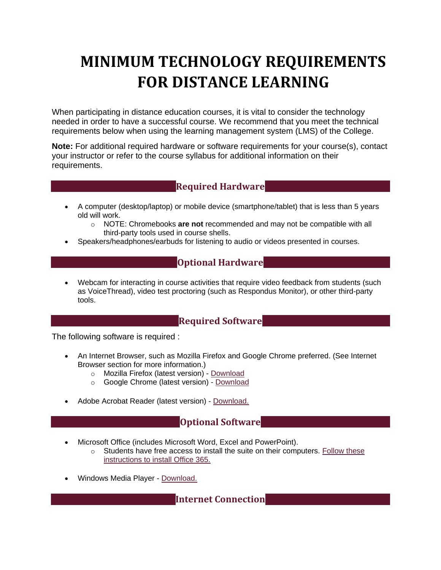# **MINIMUM TECHNOLOGY REQUIREMENTS FOR DISTANCE LEARNING**

When participating in distance education courses, it is vital to consider the technology needed in order to have a successful course. We recommend that you meet the technical requirements below when using the learning management system (LMS) of the College.

**Note:** For additional required hardware or software requirements for your course(s), contact your instructor or refer to the course syllabus for additional information on their requirements.

## **Required Hardware**

- A computer (desktop/laptop) or mobile device (smartphone/tablet) that is less than 5 years old will work.
	- o NOTE: Chromebooks **are not** recommended and may not be compatible with all third-party tools used in course shells.
- Speakers/headphones/earbuds for listening to audio or videos presented in courses.

### **Optional Hardware**

• Webcam for interacting in course activities that require video feedback from students (such as VoiceThread), video test proctoring (such as Respondus Monitor), or other third-party tools.

#### **Required Software**

The following software is required :

- An Internet Browser, such as Mozilla Firefox and Google Chrome preferred. (See Internet Browser section for more information.)
	- o Mozilla Firefox (latest version) [Download](https://www.mozilla.org/en-US/firefox/)
	- o Google Chrome (latest version) [Download](https://www.google.com/chrome/)
- Adobe Acrobat Reader (latest version) [Download.](http://get.adobe.com/reader)

## **Optional Software**

- Microsoft Office (includes Microsoft Word, Excel and PowerPoint).
	- $\circ$  Students have free access to install the suite on their computers. Follow these instructions to install Office 365.
- Windows Media Player [Download.](http://windows.microsoft.com/en-US/windows/downloads/windows-media-player)

**Internet Connection**